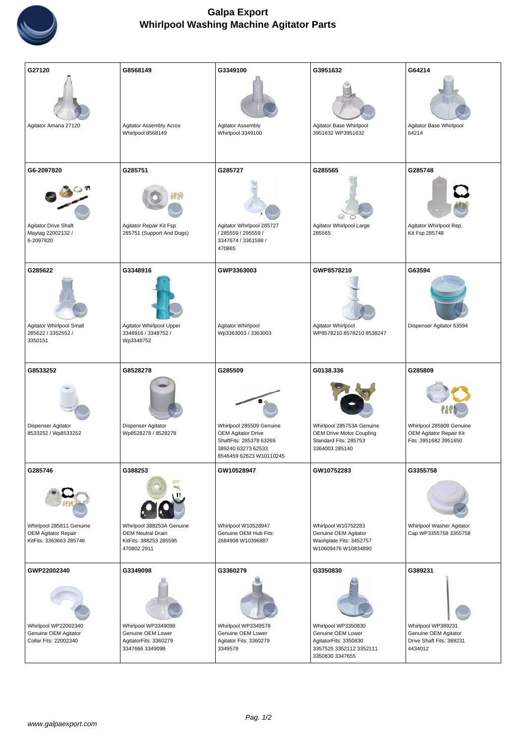

| G27120<br>Agitator Amana 27120                                                     | G8568149<br><b>Agitator Assembly Acros</b><br>Whirlpool 8568149                                 | G3349100<br>Agitator Assembly<br>Whirlpool 3349100                                                     | G3951632<br>Agitator Base Whirlpool<br>3951632 WP3951632                                      | G64214<br>Agitator Base Whirlpool<br>64214         |
|------------------------------------------------------------------------------------|-------------------------------------------------------------------------------------------------|--------------------------------------------------------------------------------------------------------|-----------------------------------------------------------------------------------------------|----------------------------------------------------|
| G6-2097820                                                                         | G285751                                                                                         | G285727                                                                                                | G285565                                                                                       | G285748                                            |
| <b>Agitator Drive Shaft</b><br>Maytag 22002132 /<br>6-2097820                      | Agitator Repair Kit Fsp<br>285751 (Support And Dogs)                                            | Agitator Whirlpool 285727<br>/ 285559 / 295559 /<br>3347674 / 3361598 /<br>470865                      | Agitator Whirlpool Large<br>285565                                                            | Agitator Whirlpool Rep.<br>Kit Fsp 285748          |
| G285622                                                                            | G3348916                                                                                        | GWP3363003                                                                                             | GWP8578210                                                                                    | G63594                                             |
| Agitator Whirlpool Small<br>285622 / 3352552 /<br>3350151                          | Agitator Whirlpool Upper<br>3348916 / 3348752 /<br>Wp3348752                                    | Agitator Whirlpool<br>Wp3363003 / 3363003                                                              | Agitator Whirlpool<br>WP8578210 8578210 8538247                                               | Dispenser Agitator 63594                           |
| G8533252                                                                           | G8528278                                                                                        | G285509                                                                                                | G0138.336                                                                                     | G285809                                            |
| Dispenser Agitator<br>8533252 / Wp8533252                                          | Dispenser Agitator<br>Wp8528278 / 8528278                                                       | Whirlpool 285509 Genuine                                                                               | Whirlpool 285753A Genuine                                                                     | Whirlpool 285809 Genuine                           |
|                                                                                    |                                                                                                 | <b>OEM Agitator Drive</b><br>Shaft Fits: 285378 63269<br>389240 63273 62533<br>8546459 62623 W10110245 | <b>OEM Drive Motor Coupling</b><br>Standard Fits: 285753<br>3364003 285140                    | OEM Agitator Repair Kit<br>Fits: 3951682 3951650   |
| G285746                                                                            | G388253                                                                                         | GW10528947                                                                                             | GW10752283                                                                                    | G3355758                                           |
| Whirlpool 285811 Genuine<br><b>OEM Agitator Repair</b><br>Kit Fits: 3363663 285746 | Whirlpool 388253A Genuine<br><b>OEM Neutral Drain</b><br>Kit Fits: 388253 285595<br>470802 2911 | Whirlpool W10528947<br>Genuine OEM Hub Fits:<br>2684908 W10396887                                      | Whirlpool W10752283<br>Genuine OEM Agitator<br>Washplate Fits: 3452757<br>W10609476 W10834890 | Whirlpool Washer Agitator<br>Cap WP3355758 3355758 |
| GWP22002340                                                                        | G3349098                                                                                        | G3360279                                                                                               | G3350830                                                                                      | G389231                                            |